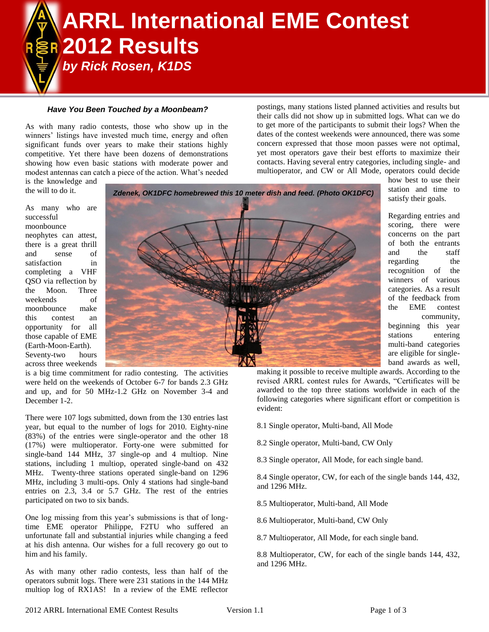# **ARRL International EME Contest 2012 Results**  *by Rick Rosen, K1DS*

### *Have You Been Touched by a Moonbeam?*

As with many radio contests, those who show up in the winners' listings have invested much time, energy and often significant funds over years to make their stations highly competitive. Yet there have been dozens of demonstrations showing how even basic stations with moderate power and modest antennas can catch a piece of the action. What's needed postings, many stations listed planned activities and results but their calls did not show up in submitted logs. What can we do to get more of the participants to submit their logs? When the dates of the contest weekends were announced, there was some concern expressed that those moon passes were not optimal, yet most operators gave their best efforts to maximize their contacts. Having several entry categories, including single- and multioperator, and CW or All Mode, operators could decide

> how best to use their station and time to satisfy their goals.

> Regarding entries and scoring, there were concerns on the part of both the entrants and the staff regarding the recognition of the winners of various categories. As a result of the feedback from the EME contest

> > community,

beginning this year stations entering multi-band categories are eligible for singleband awards as well,

is the knowledge and the will to do it.

As many who are successful moonbounce neophytes can attest, there is a great thrill and sense of satisfaction in completing a VHF QSO via reflection by the Moon. Three weekends of moonbounce make this contest an opportunity for all those capable of EME (Earth-Moon-Earth). Seventy-two hours across three weekends



is a big time commitment for radio contesting. The activities were held on the weekends of October 6-7 for bands 2.3 GHz and up, and for 50 MHz-1.2 GHz on November 3-4 and December 1-2.

There were 107 logs submitted, down from the 130 entries last year, but equal to the number of logs for 2010. Eighty-nine (83%) of the entries were single-operator and the other 18 (17%) were multioperator. Forty-one were submitted for single-band 144 MHz, 37 single-op and 4 multiop. Nine stations, including 1 multiop, operated single-band on 432 MHz. Twenty-three stations operated single-band on 1296 MHz, including 3 multi-ops. Only 4 stations had single-band entries on 2.3, 3.4 or 5.7 GHz. The rest of the entries participated on two to six bands.

One log missing from this year's submissions is that of longtime EME operator Philippe, F2TU who suffered an unfortunate fall and substantial injuries while changing a feed at his dish antenna. Our wishes for a full recovery go out to him and his family.

As with many other radio contests, less than half of the operators submit logs. There were 231 stations in the 144 MHz multiop log of RX1AS! In a review of the EME reflector making it possible to receive multiple awards. According to the revised ARRL contest rules for Awards, "Certificates will be awarded to the top three stations worldwide in each of the following categories where significant effort or competition is evident:

- 8.1 Single operator, Multi-band, All Mode
- 8.2 Single operator, Multi-band, CW Only
- 8.3 Single operator, All Mode, for each single band.

8.4 Single operator, CW, for each of the single bands 144, 432, and 1296 MHz.

8.5 Multioperator, Multi-band, All Mode

8.6 Multioperator, Multi-band, CW Only

8.7 Multioperator, All Mode, for each single band.

8.8 Multioperator, CW, for each of the single bands 144, 432, and 1296 MHz.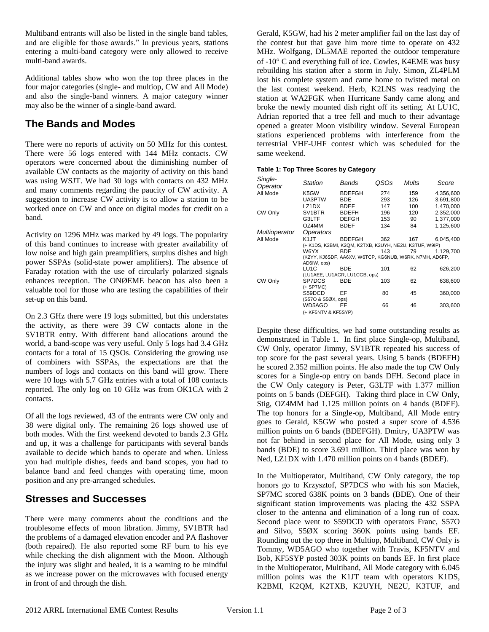Multiband entrants will also be listed in the single band tables, and are eligible for those awards." In previous years, stations entering a multi-band category were only allowed to receive multi-band awards.

Additional tables show who won the top three places in the four major categories (single- and multiop, CW and All Mode) and also the single-band winners. A major category winner may also be the winner of a single-band award.

# **The Bands and Modes**

There were no reports of activity on 50 MHz for this contest. There were 56 logs entered with 144 MHz contacts. CW operators were concerned about the diminishing number of available CW contacts as the majority of activity on this band was using WSJT. We had 30 logs with contacts on 432 MHz and many comments regarding the paucity of CW activity. A suggestion to increase CW activity is to allow a station to be worked once on CW and once on digital modes for credit on a band.

Activity on 1296 MHz was marked by 49 logs. The popularity of this band continues to increase with greater availability of low noise and high gain preamplifiers, surplus dishes and high power SSPAs (solid-state power amplifiers). The absence of Faraday rotation with the use of circularly polarized signals enhances reception. The ONØEME beacon has also been a valuable tool for those who are testing the capabilities of their set-up on this band.

On 2.3 GHz there were 19 logs submitted, but this understates the activity, as there were 39 CW contacts alone in the SV1BTR entry. With different band allocations around the world, a band-scope was very useful. Only 5 logs had 3.4 GHz contacts for a total of 15 QSOs. Considering the growing use of combiners with SSPAs, the expectations are that the numbers of logs and contacts on this band will grow. There were 10 logs with 5.7 GHz entries with a total of 108 contacts reported. The only log on 10 GHz was from OK1CA with 2 contacts.

Of all the logs reviewed, 43 of the entrants were CW only and 38 were digital only. The remaining 26 logs showed use of both modes. With the first weekend devoted to bands 2.3 GHz and up, it was a challenge for participants with several bands available to decide which bands to operate and when. Unless you had multiple dishes, feeds and band scopes, you had to balance band and feed changes with operating time, moon position and any pre-arranged schedules.

## **Stresses and Successes**

There were many comments about the conditions and the troublesome effects of moon libration. Jimmy, SV1BTR had the problems of a damaged elevation encoder and PA flashover (both repaired). He also reported some RF burn to his eye while checking the dish alignment with the Moon. Although the injury was slight and healed, it is a warning to be mindful as we increase power on the microwaves with focused energy in front of and through the dish.

Gerald, K5GW, had his 2 meter amplifier fail on the last day of the contest but that gave him more time to operate on 432 MHz. Wolfgang, DL5MAE reported the outdoor temperature of  $-10^{\circ}$  C and everything full of ice. Cowles, K4EME was busy rebuilding his station after a storm in July. Simon, ZL4PLM lost his complete system and came home to twisted metal on the last contest weekend. Herb, K2LNS was readying the station at WA2FGK when Hurricane Sandy came along and broke the newly mounted dish right off its setting. At LU1C, Adrian reported that a tree fell and much to their advantage opened a greater Moon visibility window. Several European stations experienced problems with interference from the terrestrial VHF-UHF contest which was scheduled for the same weekend.

## **Table 1: Top Three Scores by Category**

| Single-<br>Operator  | <b>Station</b>                                                         | Bands         | QSOs | Mults | Score     |  |  |
|----------------------|------------------------------------------------------------------------|---------------|------|-------|-----------|--|--|
| All Mode             | K5GW                                                                   | <b>BDEFGH</b> | 274  | 159   | 4,356,600 |  |  |
|                      | UA3PTW                                                                 | BDE           | 293  | 126   | 3,691,800 |  |  |
|                      | LZ1DX                                                                  | <b>BDEF</b>   | 147  | 100   | 1,470,000 |  |  |
| CW Only              | SV <sub>1</sub> BTR                                                    | <b>BDEFH</b>  | 196  | 120   | 2,352,000 |  |  |
|                      | G3LTF                                                                  | <b>DEFGH</b>  | 153  | 90    | 1,377,000 |  |  |
|                      | OZ4MM                                                                  | <b>BDEF</b>   | 134  | 84    | 1,125,600 |  |  |
| <b>Multioperator</b> | <i><b>Operators</b></i>                                                |               |      |       |           |  |  |
| All Mode             | K <sub>1</sub> JT                                                      | <b>BDEFGH</b> | 362  | 167   | 6,045,400 |  |  |
|                      | (+ K1DS, K2BMI, K2QM, K2TXB, K2UYH, NE2U, K3TUF, W9IP)                 |               |      |       |           |  |  |
|                      | W6YX                                                                   | <b>BDE</b>    | 143  | 79    | 1.129.700 |  |  |
|                      | (K2YY, KJ6SDF, AA6XV, W6TCP, KG6NUB, W6RK, N7MH, AD6FP,<br>AD6IW, ops) |               |      |       |           |  |  |
|                      | LU1C                                                                   | <b>BDE</b>    | 101  | 62    | 626,200   |  |  |
|                      | (LU1AEE, LU1AGR, LU1CGB, ops)                                          |               |      |       |           |  |  |
| CW Only              | SP7DCS                                                                 | <b>BDE</b>    | 103  | 62    | 638,600   |  |  |
|                      | (+ SP7MC)                                                              |               |      |       |           |  |  |
|                      | S59DCD                                                                 | EF            | 80   | 45    | 360,000   |  |  |
|                      | (S57O & S5ØX, ops)                                                     |               |      |       |           |  |  |
|                      | WD5AGO                                                                 | EF            | 66   | 46    | 303,600   |  |  |
|                      | (+ KF5NTV & KF5SYP)                                                    |               |      |       |           |  |  |

Despite these difficulties, we had some outstanding results as demonstrated in Table 1. In first place Single-op, Multiband, CW Only, operator Jimmy, SV1BTR repeated his success of top score for the past several years. Using 5 bands (BDEFH) he scored 2.352 million points. He also made the top CW Only scores for a Single-op entry on bands DFH. Second place in the CW Only category is Peter, G3LTF with 1.377 million points on 5 bands (DEFGH). Taking third place in CW Only, Stig, OZ4MM had 1.125 million points on 4 bands (BDEF). The top honors for a Single-op, Multiband, All Mode entry goes to Gerald, K5GW who posted a super score of 4.536 million points on 6 bands (BDEFGH). Dmitry, UA3PTW was not far behind in second place for All Mode, using only 3 bands (BDE) to score 3.691 million. Third place was won by Ned, LZ1DX with 1.470 million points on 4 bands (BDEF).

In the Multioperator, Multiband, CW Only category, the top honors go to Krzysztof, SP7DCS who with his son Maciek, SP7MC scored 638K points on 3 bands (BDE). One of their significant station improvements was placing the 432 SSPA closer to the antenna and elimination of a long run of coax. Second place went to S59DCD with operators Franc, S57O and Silvo, S5ØX scoring 360K points using bands EF. Rounding out the top three in Multiop, Multiband, CW Only is Tommy, WD5AGO who together with Travis, KF5NTV and Bob, KF5SYP posted 303K points on bands EF. In first place in the Multioperator, Multiband, All Mode category with 6.045 million points was the K1JT team with operators K1DS, K2BMI, K2QM, K2TXB, K2UYH, NE2U, K3TUF, and